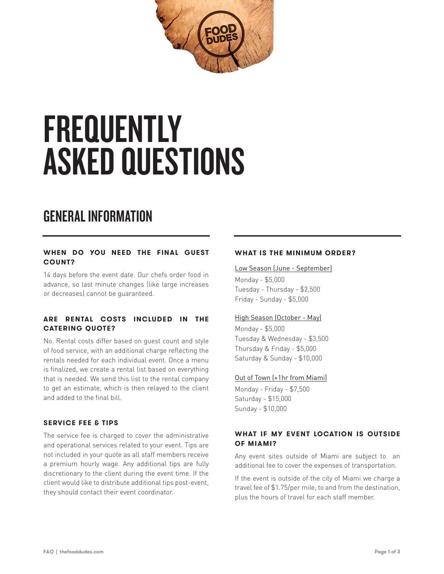

# **FREQUENTLY** ASKED QUESTIONS

# GENERAL INFORMATION

#### **WHEN DO YOU NEED THE FINAL GUEST COUNT?**

14 days before the event date. Our chefs order food in advance, so last minute changes (like large increases or decreases) cannot be guaranteed.

## **ARE RENTAL COSTS INCLUDED IN THE CATERING QUOTE?**

No. Rental costs differ based on guest count and style of food service, with an additional charge reflecting the rentals needed for each individual event. Once a menu is finalized, we create a rental list based on everything that is needed. We send this list to the rental company to get an estimate, which is then relayed to the client and added to the final bill.

#### **SERVICE FEE & TIPS**

The service fee is charged to cover the administrative and operational services related to your event. Tips are not included in your quote as all staff members receive a premium hourly wage. Any additional tips are fully discretionary to the client during the event time. If the client would like to distribute additional tips post-event, they should contact their event coordinator.

#### **WHAT IS THE MINIMUM ORDER?**

#### Low Season (June - September)

Monday - \$5,000 Tuesday - Thursday - \$2,500 Friday - Sunday - \$5,000

#### High Season (October - May)

Monday - \$5,000 Tuesday & Wednesday - \$3,500 Thursday & Friday - \$5,000 Saturday & Sunday - \$10,000

#### Out of Town (+1hr from Miami)

Monday - Friday - \$7,500 Saturday - \$15,000 Sunday - \$10,000

#### **WHAT IF MY EVENT LOCATION IS OUTSIDE OF MIAMI?**

Any event sites outside of Miami are subject to an additional fee to cover the expenses of transportation.

If the event is outside of the city of Miami we charge a travel fee of \$1.75/per mile, to and from the destination, plus the hours of travel for each staff member.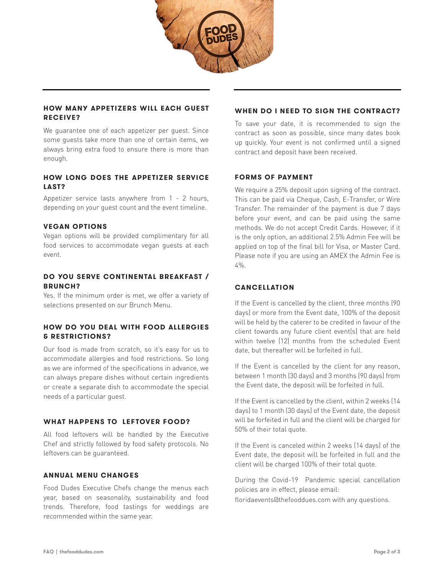

#### **HOW MANY APPETIZERS WILL EACH GUEST RECEIVE?**

We guarantee one of each appetizer per guest. Since some guests take more than one of certain items, we always bring extra food to ensure there is more than enough.

### **HOW LONG DOES THE APPETIZER SERVICE LAST?**

Appetizer service lasts anywhere from 1 - 2 hours, depending on your guest count and the event timeline.

#### **VEGAN OPTIONS**

Vegan options will be provided complimentary for all food services to accommodate vegan guests at each event.

#### **DO YOU SERVE CONTINENTAL BREAKFAST / BRUNCH?**

Yes. If the minimum order is met, we offer a variety of selections presented on our Brunch Menu.

## **HOW DO YOU DEAL WITH FOOD ALLERGIES & RESTRICTIONS?**

Our food is made from scratch, so it's easy for us to accommodate allergies and food restrictions. So long as we are informed of the specifications in advance, we can always prepare dishes without certain ingredients or create a separate dish to accommodate the special needs of a particular guest.

#### **WHAT HAPPENS TO LEFTOVER FOOD?**

All food leftovers will be handled by the Executive Chef and strictly followed by food safety protocols. No leftovers can be guaranteed.

#### **ANNUAL MENU CHANGES**

Food Dudes Executive Chefs change the menus each year, based on seasonality, sustainability and food trends. Therefore, food tastings for weddings are recommended within the same year.

#### **WHEN DO I NEED TO SIGN THE CONTRACT?**

To save your date, it is recommended to sign the contract as soon as possible, since many dates book up quickly. Your event is not confirmed until a signed contract and deposit have been received.

#### **FORMS OF PAYMENT**

We require a 25% deposit upon signing of the contract. This can be paid via Cheque, Cash, E-Transfer, or Wire Transfer. The remainder of the payment is due 7 days before your event, and can be paid using the same methods. We do not accept Credit Cards. However, if it is the only option, an additional 2.5% Admin Fee will be applied on top of the final bill for Visa, or Master Card. Please note if you are using an AMEX the Admin Fee is  $4\%$ 

#### **CANCELLATION**

If the Event is cancelled by the client, three months (90 days) or more from the Event date, 100% of the deposit will be held by the caterer to be credited in favour of the client towards any future client event(s) that are held within twelve (12) months from the scheduled Event date, but thereafter will be forfeited in full.

If the Event is cancelled by the client for any reason, between 1 month (30 days) and 3 months (90 days) from the Event date, the deposit will be forfeited in full.

If the Event is cancelled by the client, within 2 weeks (14 days) to 1 month (30 days) of the Event date, the deposit will be forfeited in full and the client will be charged for 50% of their total quote.

If the Event is canceled within 2 weeks (14 days) of the Event date, the deposit will be forfeited in full and the client will be charged 100% of their total quote.

During the Covid-19 Pandemic special cancellation policies are in effect, please email:

floridaevents@thefooddues.com with any questions.